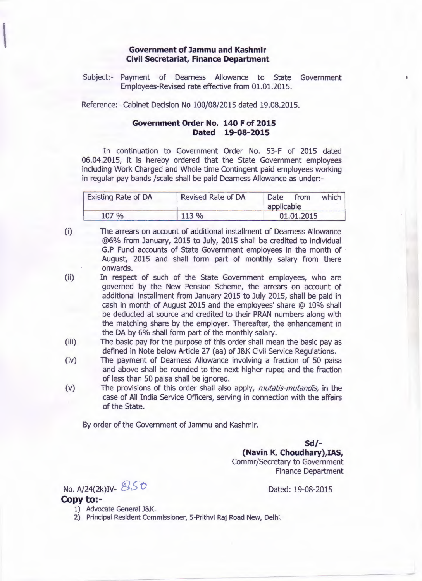## **Government of Jammu and Kashmir Civil Secretariat, Finance Department**

Subject:- Payment of Dearness Allowance to State Government Employees-Revised rate effective from 01.01.2015.

Reference:- Cabinet Decision No 100/08/2015 dated 19.08.2015.

## **Government Order No. 140 F of 2015 Dated 19-08-2015**

In continuation to Government Order No. 53-F of 2015 dated 06.04.2015, it is hereby ordered that the State Government employees including Work Charged and Whole time Contingent paid employees working in regular pay bands /scale shall be paid Dearness Allowance as under:-

| <b>Existing Rate of DA</b> | <b>Revised Rate of DA</b> | which<br>Date<br>from<br>applicable |
|----------------------------|---------------------------|-------------------------------------|
| 107 %                      | 113 %                     | 01.01.2015                          |

- (i) The arrears on account of additional installment of Dearness Allowance @6% from January, 2015 to July, 2015 shall be credited to individual G.P Fund accounts of State Government employees in the month of . August, 2015 and shall form part of monthly salary from there onwards.
- (ii) In respect of such of the State Government employees, who are governed by the New Pension Scheme, the arrears on account of additional installment from January 2015 to July 2015, shall be paid in cash in month of August 2015 and the employees' share @ 10% shall be deducted at source and credited to their PRAN numbers along with the matching share by the employer. Thereafter, the enhancement in the DA by 6% shall form part of the monthly salary.
- (iii) The basic pay for the purpose of this order shall mean the basic pay as defined in Note below Article 27 (aa) of J&K Civil Service Regulations.
- (iv) The payment of Dearness Allowance involving a fraction of 50 paisa and above shall be rounded to the next higher rupee and the fraction of less than 50 paisa shall be ignored.
- (v) The provisions of this order shall also apply, *mutatis-mutandis,* in the case of All India Service Officers, serving in connection with the affairs of the State.

By order of the Government of Jammu and Kashmir.

**Sd/- (Navin K. Choudhary),IAS,** Commr/Secretary to Government Finance Department

No.  $A/24(2k)$ IV-  $850$ 

Dated: 19-08-2015

- **Copy to:-** 1) Advocate General J&K.
	- 2) Principal Resident Commissioner, 5-Prithvi Raj Road New, Delhi.